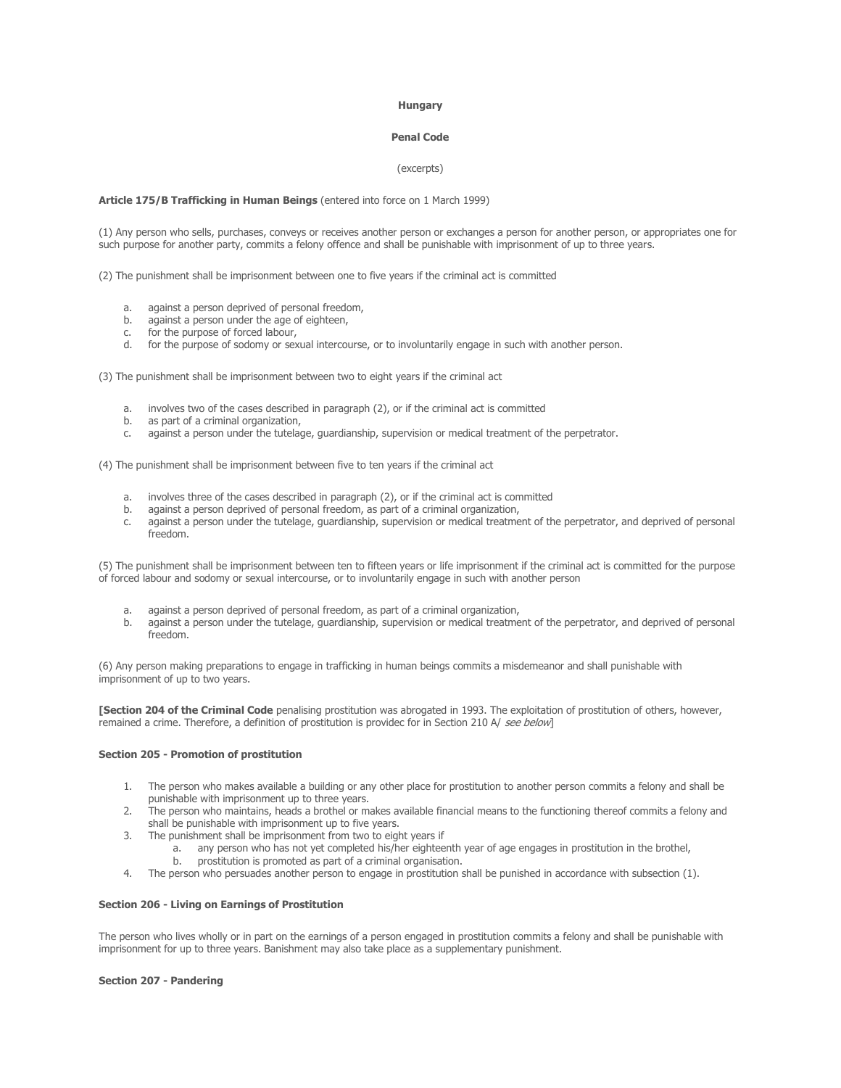### **Hungary**

# **Penal Code**

### (excerpts)

### **Article 175/B Trafficking in Human Beings** (entered into force on 1 March 1999)

(1) Any person who sells, purchases, conveys or receives another person or exchanges a person for another person, or appropriates one for such purpose for another party, commits a felony offence and shall be punishable with imprisonment of up to three years.

(2) The punishment shall be imprisonment between one to five years if the criminal act is committed

- a. against a person deprived of personal freedom,
- b. against a person under the age of eighteen,
- c. for the purpose of forced labour,
- d. for the purpose of sodomy or sexual intercourse, or to involuntarily engage in such with another person.

(3) The punishment shall be imprisonment between two to eight years if the criminal act

- a. involves two of the cases described in paragraph (2), or if the criminal act is committed
- b. as part of a criminal organization,
- c. against a person under the tutelage, guardianship, supervision or medical treatment of the perpetrator.

(4) The punishment shall be imprisonment between five to ten years if the criminal act

- a. involves three of the cases described in paragraph (2), or if the criminal act is committed
- b. against a person deprived of personal freedom, as part of a criminal organization,
- c. against a person under the tutelage, guardianship, supervision or medical treatment of the perpetrator, and deprived of personal freedom.

(5) The punishment shall be imprisonment between ten to fifteen years or life imprisonment if the criminal act is committed for the purpose of forced labour and sodomy or sexual intercourse, or to involuntarily engage in such with another person

- a. against a person deprived of personal freedom, as part of a criminal organization,
- b. against a person under the tutelage, guardianship, supervision or medical treatment of the perpetrator, and deprived of personal freedom.

(6) Any person making preparations to engage in trafficking in human beings commits a misdemeanor and shall punishable with imprisonment of up to two years.

**[Section 204 of the Criminal Code** penalising prostitution was abrogated in 1993. The exploitation of prostitution of others, however, remained a crime. Therefore, a definition of prostitution is providec for in Section 210 A/ see below]

### **Section 205 - Promotion of prostitution**

- 1. The person who makes available a building or any other place for prostitution to another person commits a felony and shall be punishable with imprisonment up to three years.
- 2. The person who maintains, heads a brothel or makes available financial means to the functioning thereof commits a felony and shall be punishable with imprisonment up to five years.
- 3. The punishment shall be imprisonment from two to eight years if
	- a. any person who has not yet completed his/her eighteenth year of age engages in prostitution in the brothel, b. prostitution is promoted as part of a criminal organisation.
- 4. The person who persuades another person to engage in prostitution shall be punished in accordance with subsection (1).

## **Section 206 - Living on Earnings of Prostitution**

The person who lives wholly or in part on the earnings of a person engaged in prostitution commits a felony and shall be punishable with imprisonment for up to three years. Banishment may also take place as a supplementary punishment.

### **Section 207 - Pandering**